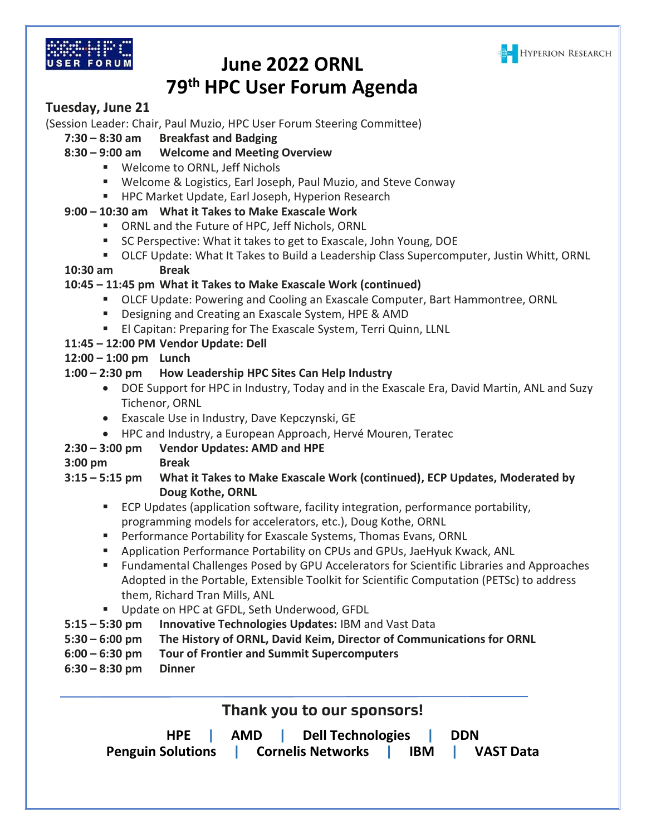



# **June 2022 ORNL 79th HPC User Forum Agenda**

## **Tuesday, June 21**

(Session Leader: Chair, Paul Muzio, HPC User Forum Steering Committee)

**7:30 – 8:30 am Breakfast and Badging**

## **8:30 – 9:00 am Welcome and Meeting Overview**

- Welcome to ORNL, Jeff Nichols
- Welcome & Logistics, Earl Joseph, Paul Muzio, and Steve Conway
- HPC Market Update, Earl Joseph, Hyperion Research

## **9:00 – 10:30 am What it Takes to Make Exascale Work**

- ORNL and the Future of HPC, Jeff Nichols, ORNL
- SC Perspective: What it takes to get to Exascale, John Young, DOE
- OLCF Update: What It Takes to Build a Leadership Class Supercomputer, Justin Whitt, ORNL

#### **10:30 am Break**

## **10:45 – 11:45 pm What it Takes to Make Exascale Work (continued)**

- **■** OLCF Update: Powering and Cooling an Exascale Computer, Bart Hammontree, ORNL
- Designing and Creating an Exascale System, HPE & AMD
- El Capitan: Preparing for The Exascale System, Terri Quinn, LLNL

## **11:45 – 12:00 PM Vendor Update: Dell**

## **12:00 – 1:00 pm Lunch**

## **1:00 – 2:30 pm How Leadership HPC Sites Can Help Industry**

- DOE Support for HPC in Industry, Today and in the Exascale Era, David Martin, ANL and Suzy Tichenor, ORNL
- Exascale Use in Industry, Dave Kepczynski, GE
- HPC and Industry, a European Approach, Hervé Mouren, Teratec

## **2:30 – 3:00 pm Vendor Updates: AMD and HPE**

**3:00 pm Break**

#### **3:15 – 5:15 pm What it Takes to Make Exascale Work (continued), ECP Updates, Moderated by Doug Kothe, ORNL**

- ECP Updates (application software, facility integration, performance portability, programming models for accelerators, etc.), Doug Kothe, ORNL
- Performance Portability for Exascale Systems, Thomas Evans, ORNL
- Application Performance Portability on CPUs and GPUs, JaeHyuk Kwack, ANL
- Fundamental Challenges Posed by GPU Accelerators for Scientific Libraries and Approaches Adopted in the Portable, Extensible Toolkit for Scientific Computation (PETSc) to address them, Richard Tran Mills, ANL
- Update on HPC at GFDL, Seth Underwood, GFDL
- **5:15 – 5:30 pm Innovative Technologies Updates:** IBM and Vast Data
- **5:30 – 6:00 pm The History of ORNL, David Keim, Director of Communications for ORNL**
- **6:00 – 6:30 pm Tour of Frontier and Summit Supercomputers**
- **6:30 – 8:30 pm Dinner**

**Thank you to our sponsors!**

| <b>HPE</b>               | AMD | Dell Technologies   DDN         |           |
|--------------------------|-----|---------------------------------|-----------|
| <b>Penguin Solutions</b> |     | <b>Cornelis Networks</b><br>IBM | VAST Data |